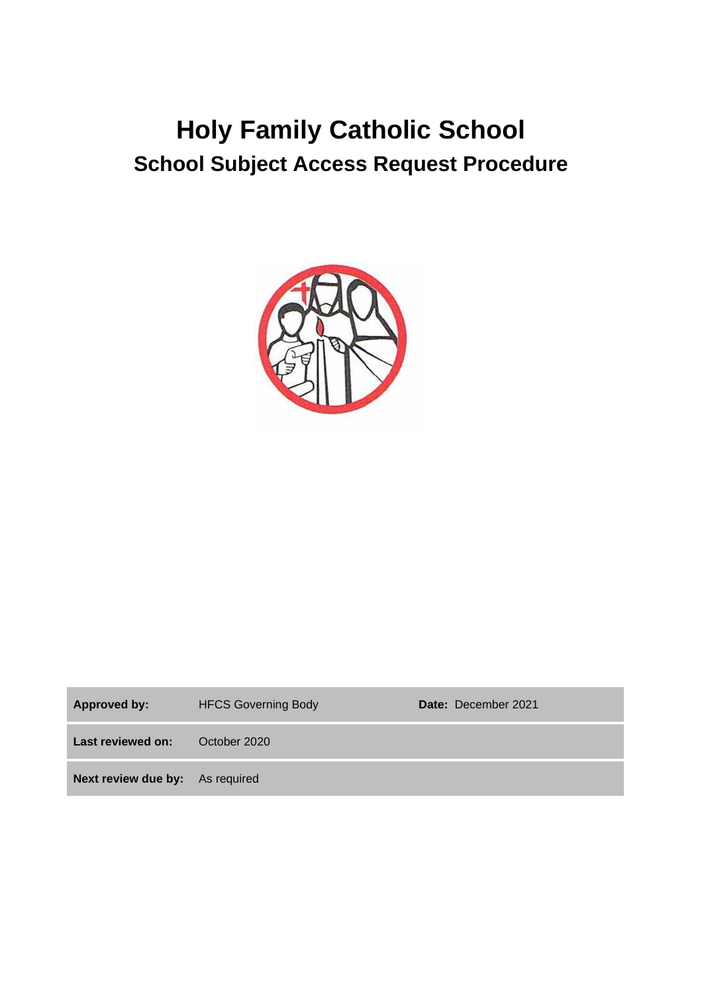# **Holy Family Catholic School School Subject Access Request Procedure**



| Approved by:                           | <b>HFCS Governing Body</b> | Date: December 2021 |
|----------------------------------------|----------------------------|---------------------|
| Last reviewed on:                      | October 2020               |                     |
| <b>Next review due by:</b> As required |                            |                     |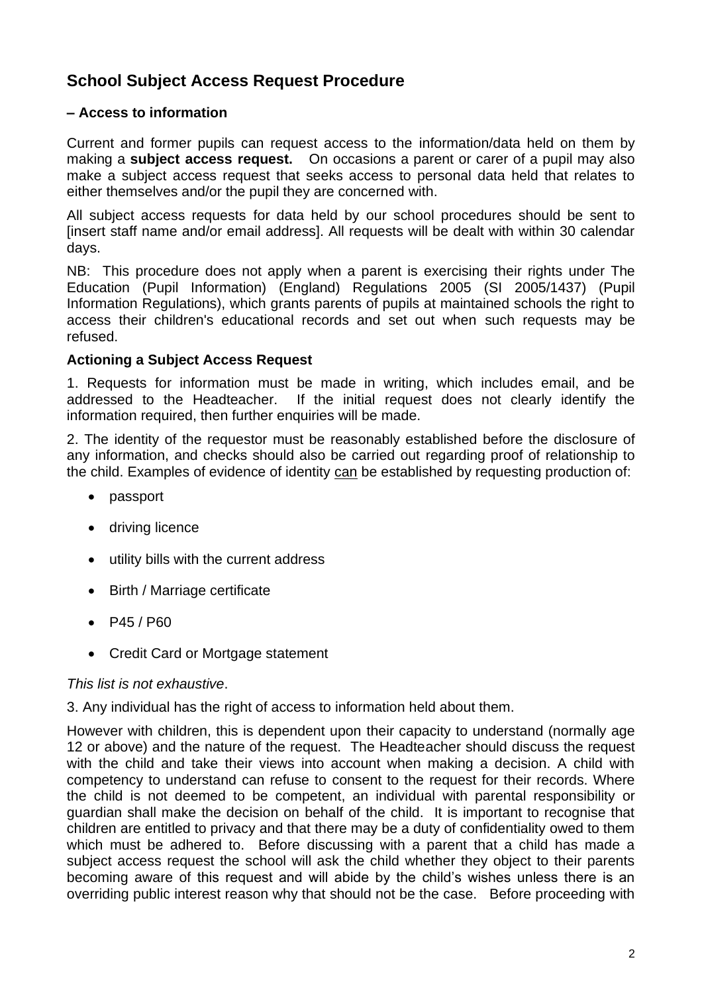## **School Subject Access Request Procedure**

#### **– Access to information**

Current and former pupils can request access to the information/data held on them by making a **subject access request.** On occasions a parent or carer of a pupil may also make a subject access request that seeks access to personal data held that relates to either themselves and/or the pupil they are concerned with.

All subject access requests for data held by our school procedures should be sent to [insert staff name and/or email address]. All requests will be dealt with within 30 calendar days.

NB: This procedure does not apply when a parent is exercising their rights under The Education (Pupil Information) (England) Regulations 2005 (SI 2005/1437) (Pupil Information Regulations), which grants parents of pupils at maintained schools the right to access their children's educational records and set out when such requests may be refused.

#### **Actioning a Subject Access Request**

1. Requests for information must be made in writing, which includes email, and be addressed to the Headteacher. If the initial request does not clearly identify the information required, then further enquiries will be made.

2. The identity of the requestor must be reasonably established before the disclosure of any information, and checks should also be carried out regarding proof of relationship to the child. Examples of evidence of identity can be established by requesting production of:

- passport
- driving licence
- utility bills with the current address
- Birth / Marriage certificate
- P45 / P60
- Credit Card or Mortgage statement

#### *This list is not exhaustive*.

#### 3. Any individual has the right of access to information held about them.

However with children, this is dependent upon their capacity to understand (normally age 12 or above) and the nature of the request. The Headteacher should discuss the request with the child and take their views into account when making a decision. A child with competency to understand can refuse to consent to the request for their records. Where the child is not deemed to be competent, an individual with parental responsibility or guardian shall make the decision on behalf of the child. It is important to recognise that children are entitled to privacy and that there may be a duty of confidentiality owed to them which must be adhered to. Before discussing with a parent that a child has made a subject access request the school will ask the child whether they object to their parents becoming aware of this request and will abide by the child's wishes unless there is an overriding public interest reason why that should not be the case. Before proceeding with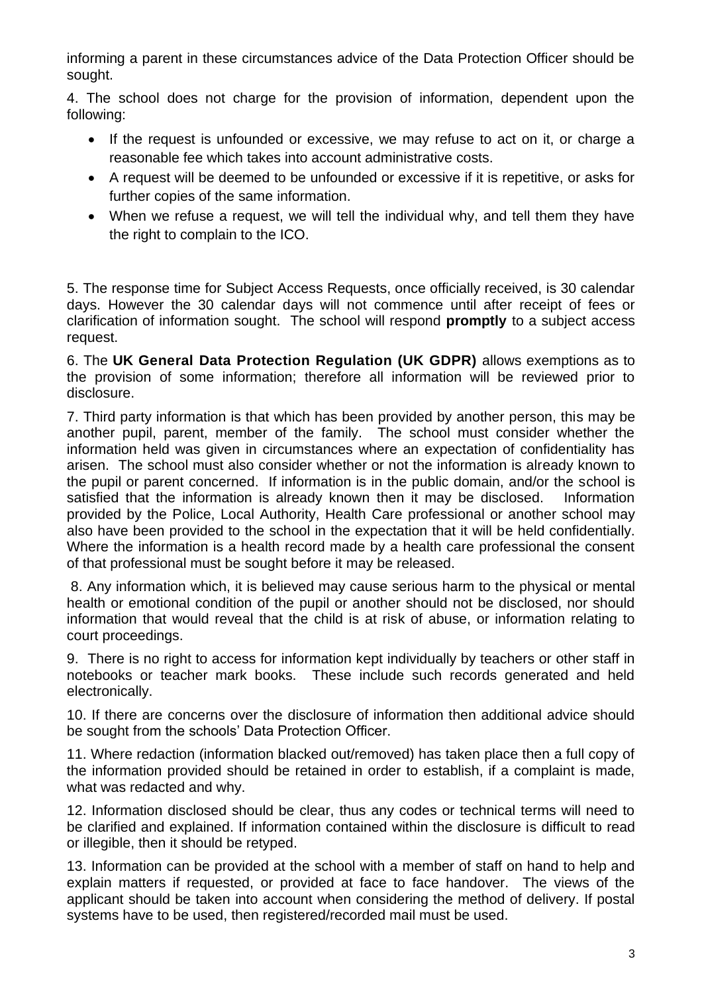informing a parent in these circumstances advice of the Data Protection Officer should be sought.

4. The school does not charge for the provision of information, dependent upon the following:

- If the request is unfounded or excessive, we may refuse to act on it, or charge a reasonable fee which takes into account administrative costs.
- A request will be deemed to be unfounded or excessive if it is repetitive, or asks for further copies of the same information.
- When we refuse a request, we will tell the individual why, and tell them they have the right to complain to the ICO.

5. The response time for Subject Access Requests, once officially received, is 30 calendar days. However the 30 calendar days will not commence until after receipt of fees or clarification of information sought. The school will respond **promptly** to a subject access request.

6. The **UK General Data Protection Regulation (UK GDPR)** allows exemptions as to the provision of some information; therefore all information will be reviewed prior to disclosure.

7. Third party information is that which has been provided by another person, this may be another pupil, parent, member of the family. The school must consider whether the information held was given in circumstances where an expectation of confidentiality has arisen. The school must also consider whether or not the information is already known to the pupil or parent concerned. If information is in the public domain, and/or the school is satisfied that the information is already known then it may be disclosed. Information provided by the Police, Local Authority, Health Care professional or another school may also have been provided to the school in the expectation that it will be held confidentially. Where the information is a health record made by a health care professional the consent of that professional must be sought before it may be released.

8. Any information which, it is believed may cause serious harm to the physical or mental health or emotional condition of the pupil or another should not be disclosed, nor should information that would reveal that the child is at risk of abuse, or information relating to court proceedings.

9. There is no right to access for information kept individually by teachers or other staff in notebooks or teacher mark books. These include such records generated and held electronically.

10. If there are concerns over the disclosure of information then additional advice should be sought from the schools' Data Protection Officer.

11. Where redaction (information blacked out/removed) has taken place then a full copy of the information provided should be retained in order to establish, if a complaint is made, what was redacted and why.

12. Information disclosed should be clear, thus any codes or technical terms will need to be clarified and explained. If information contained within the disclosure is difficult to read or illegible, then it should be retyped.

13. Information can be provided at the school with a member of staff on hand to help and explain matters if requested, or provided at face to face handover. The views of the applicant should be taken into account when considering the method of delivery. If postal systems have to be used, then registered/recorded mail must be used.